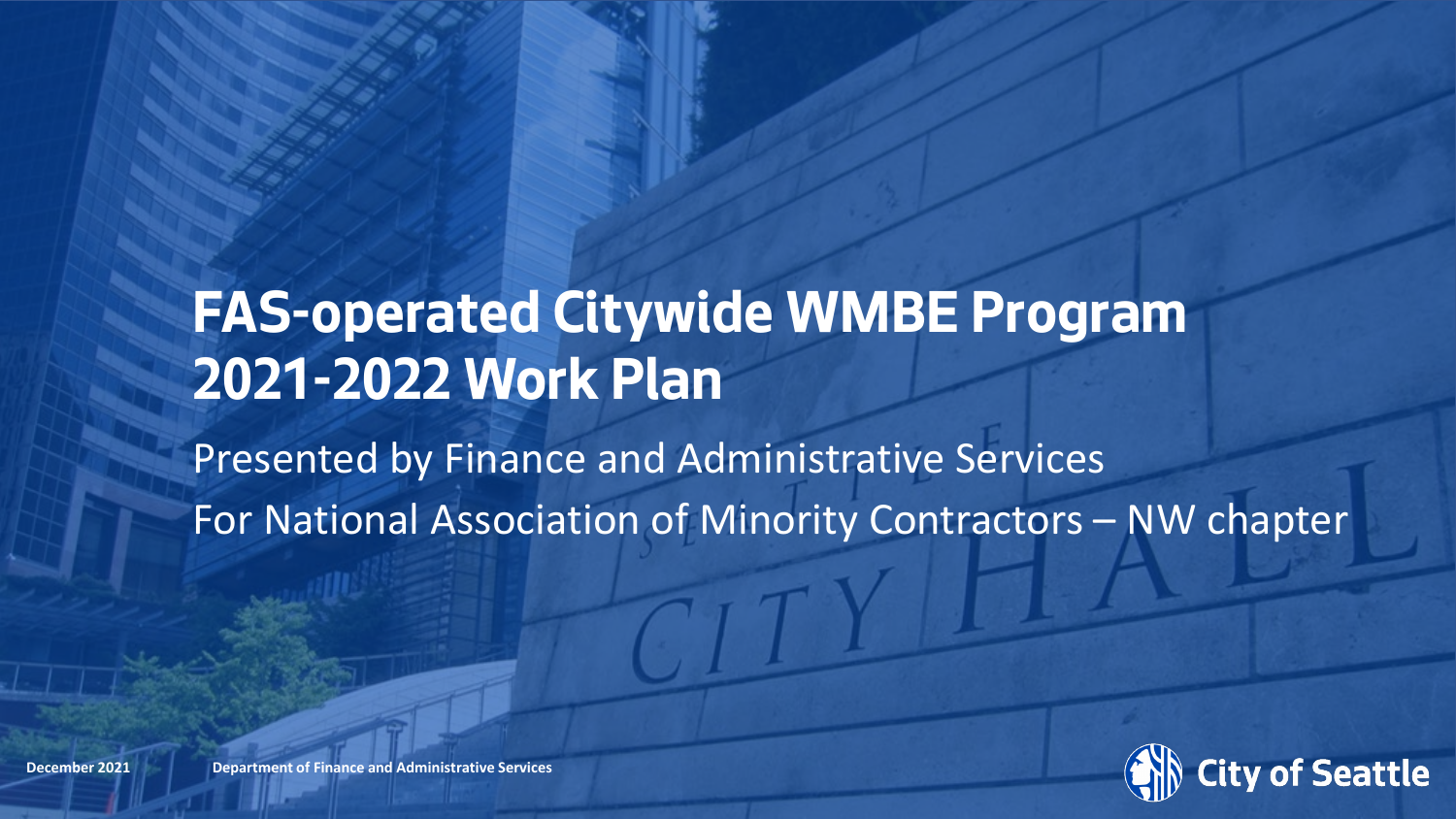# **FAS-operated Citywide WMBE Program 2021-2022 Work Plan**

Presented by Finance and Administrative Services For National Association of Minority Contractors – NW chapter



**December 2021 Department of Finance and Administrative Services Department of Finance and Administrative Services**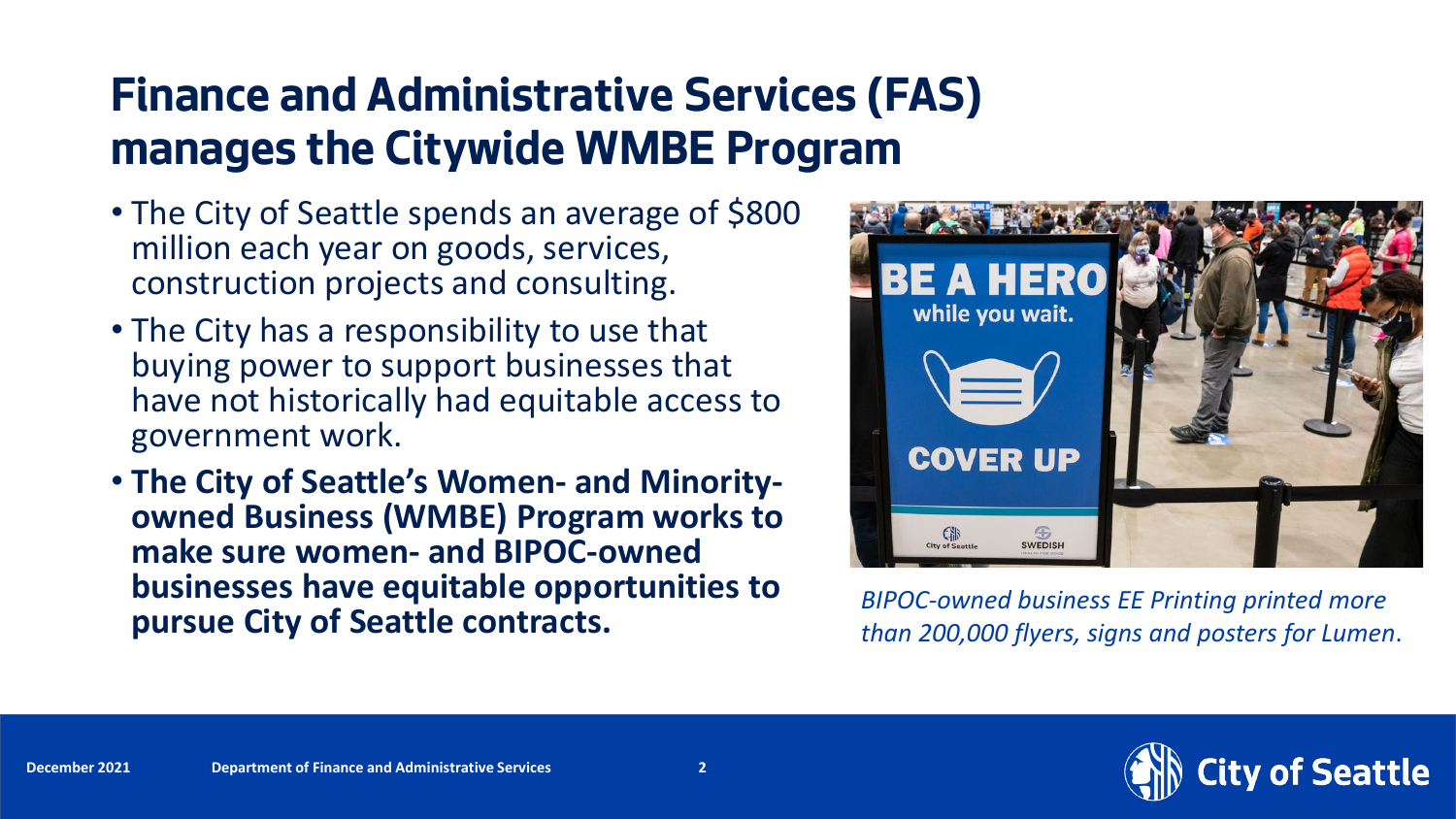## **Finance and Administrative Services (FAS) manages the Citywide WMBE Program**

- The City of Seattle spends an average of \$800 million each year on goods, services, construction projects and consulting.
- The City has a responsibility to use that buying power to support businesses that have not historically had equitable access to government work.
- **The City of Seattle's Women- and Minority- owned Business (WMBE) Program works to make sure women- and BIPOC-owned businesses have equitable opportunities to pursue City of Seattle contracts.** *BIPOC-owned business EE Printing printed more*



*than 200,000 flyers, signs and posters for Lumen*.

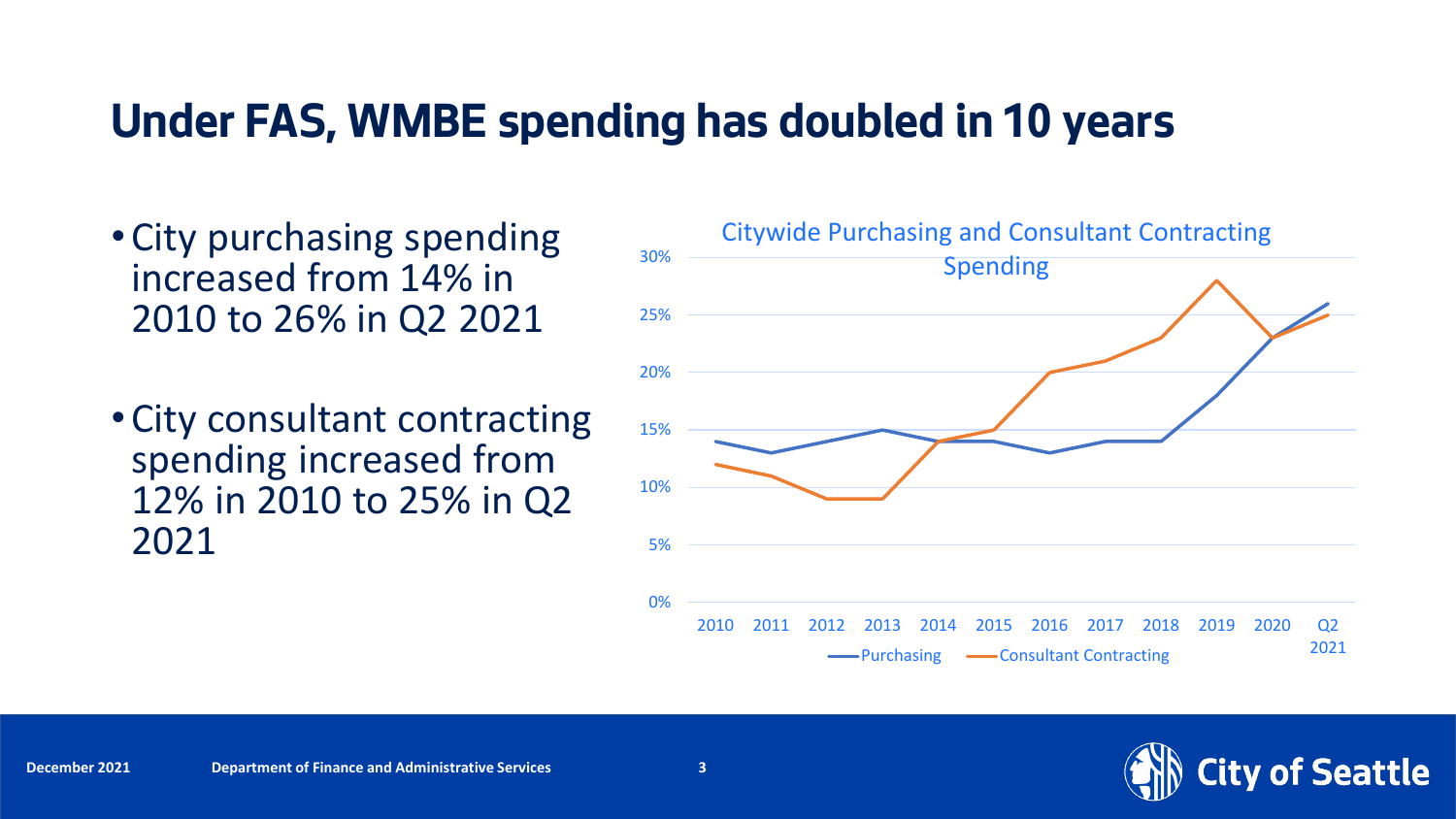### **Under FAS, WMBE spending has doubled in 10 years**

- City purchasing spending increased from 14% in 2010 to 26% in Q2 2021
- City consultant contracting spending increased from 12% in 2010 to 25% in Q2 2021



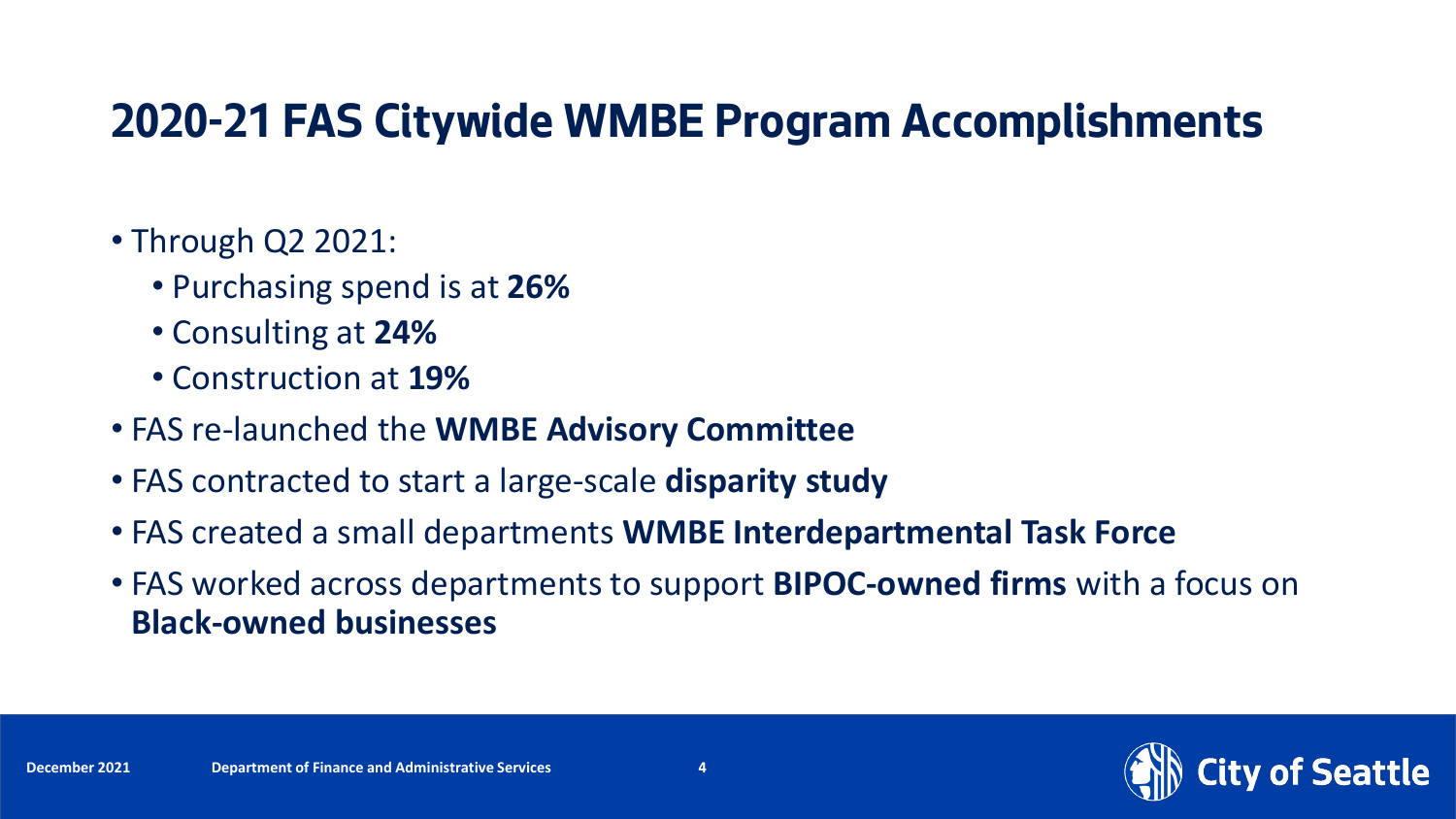### **2020-21 FAS Citywide WMBE Program Accomplishments**

#### • Through Q2 2021:

- Purchasing spend is at **26%**
- Consulting at **24%**
- Construction at **19%**
- FAS re-launched the **WMBE Advisory Committee**
- FAS contracted to start a large-scale **disparity study**
- FAS created a small departments **WMBE Interdepartmental Task Force**
- FAS worked across departments to support **BIPOC-owned firms** with a focus on **Black-owned businesses**

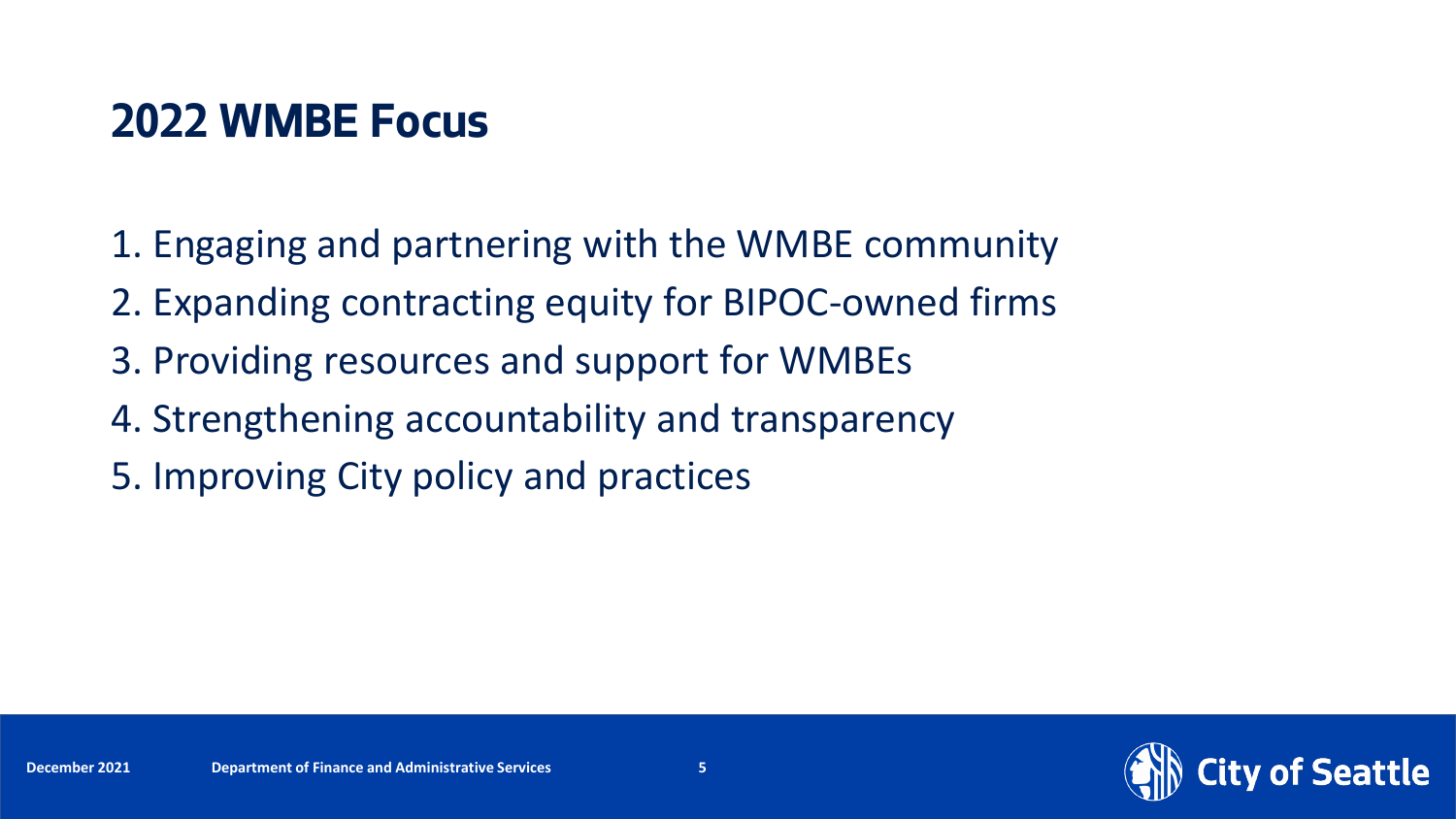### **2022 WMBE Focus**

- 1. Engaging and partnering with the WMBE community
- 2. Expanding contracting equity for BIPOC-owned firms
- 3. Providing resources and support for WMBEs
- 4. Strengthening accountability and transparency
- 5. Improving City policy and practices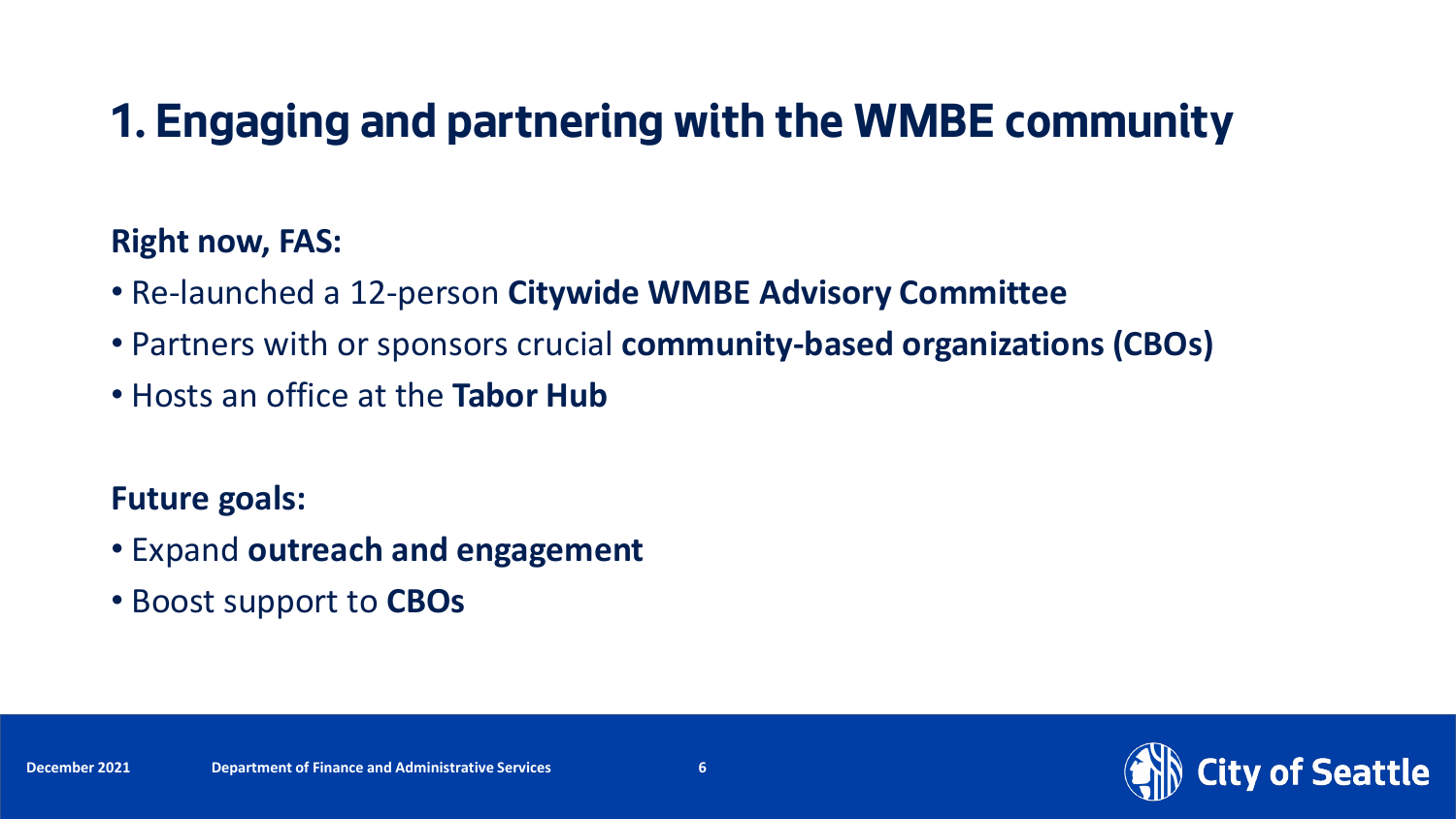## **1. Engaging and partnering with the WMBE community**

#### **Right now, FAS:**

- Re-launched a 12-person **Citywide WMBE Advisory Committee**
- Partners with or sponsors crucial **community-based organizations (CBOs)**
- Hosts an office at the **Tabor Hub**

- Expand **outreach and engagement**
- Boost support to **CBOs**

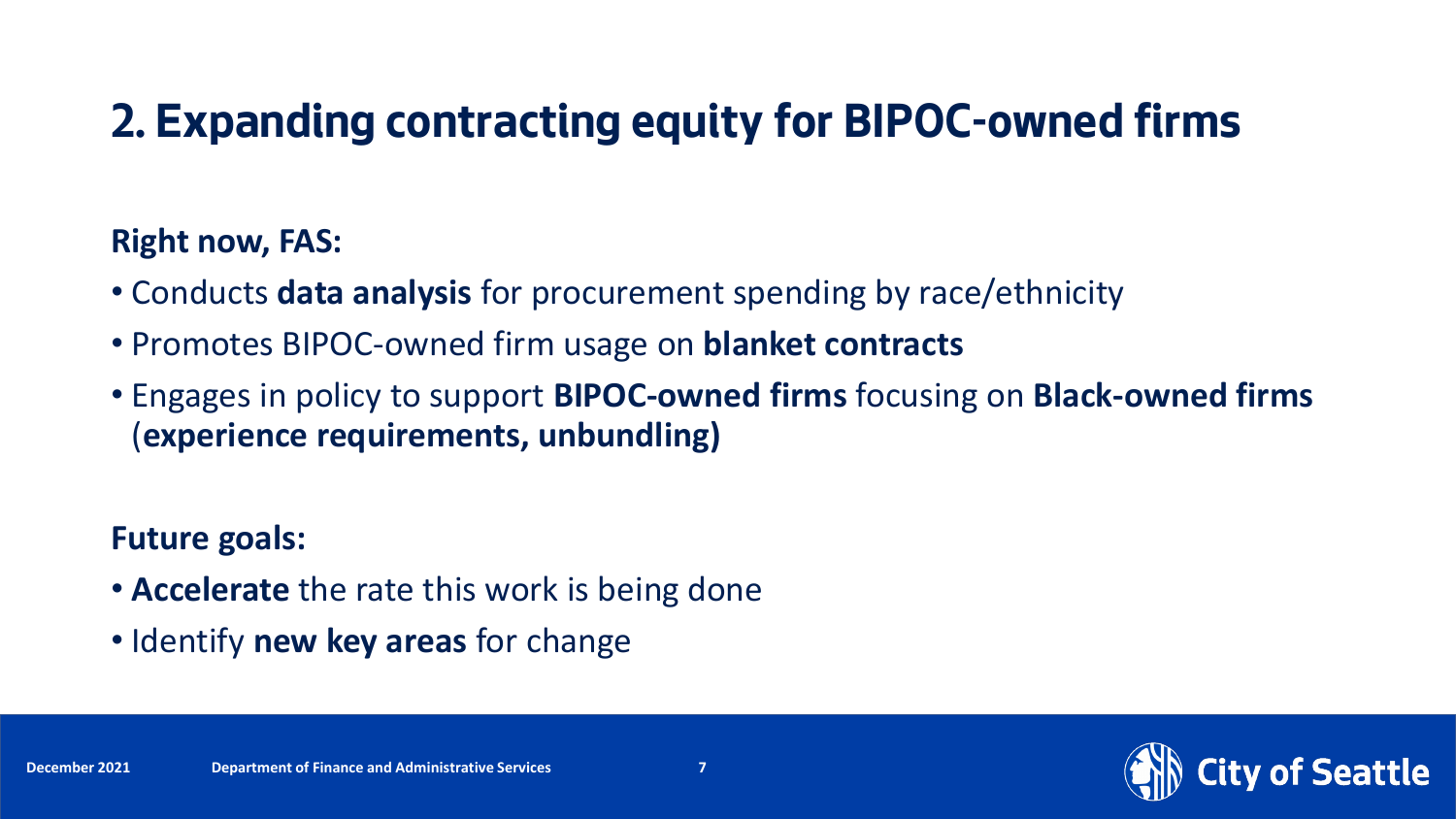## **2. Expanding contracting equity for BIPOC-owned firms**

#### **Right now, FAS:**

- Conducts **data analysis** for procurement spending by race/ethnicity
- Promotes BIPOC-owned firm usage on **blanket contracts**
- Engages in policy to support **BIPOC-owned firms** focusing on **Black-owned firms**  (**experience requirements, unbundling)**

- **Accelerate** the rate this work is being done
- Identify **new key areas** for change

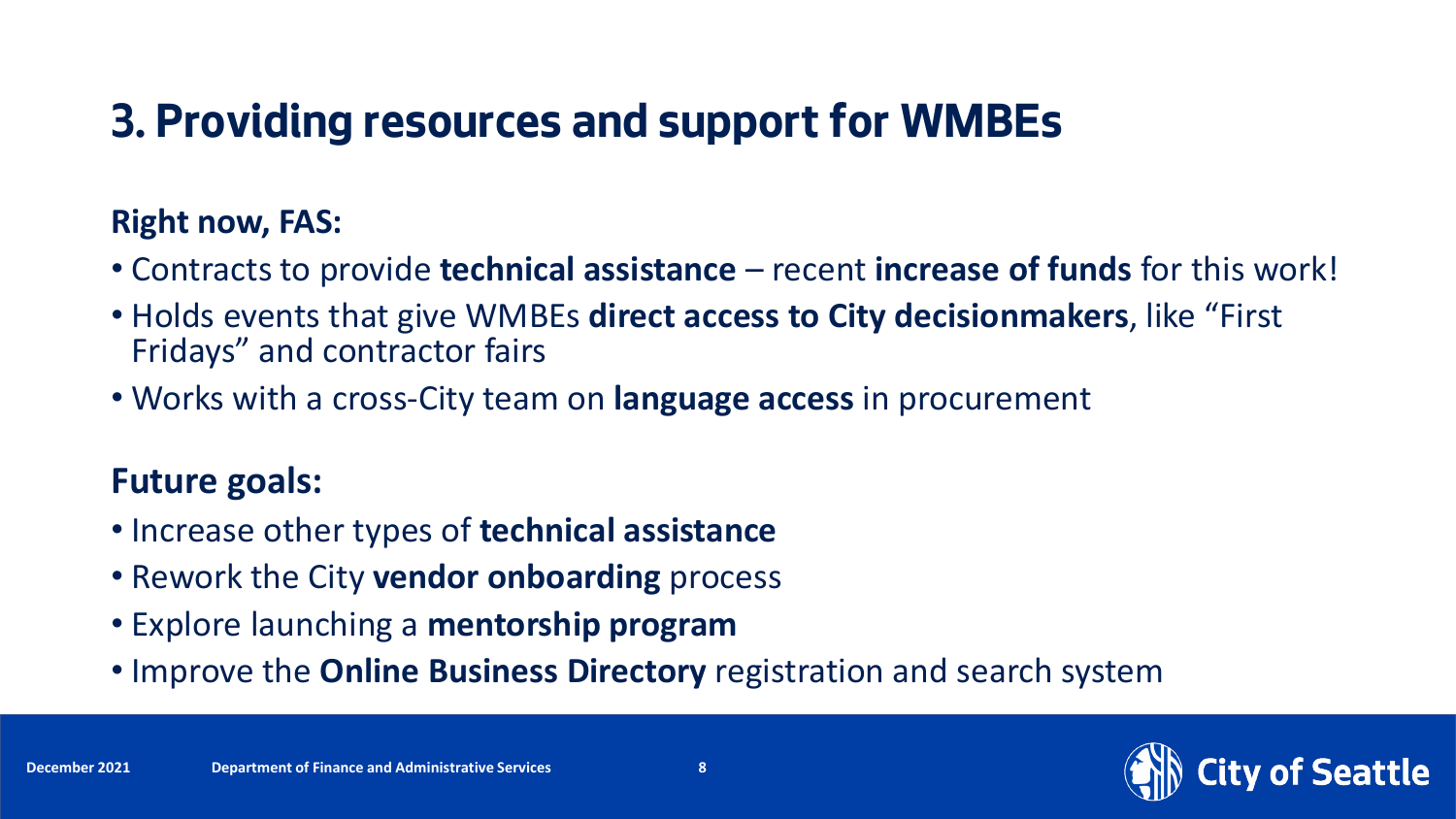## **3. Providing resources and support for WMBEs**

#### **Right now, FAS:**

- Contracts to provide **technical assistance**  recent **increase of funds** for this work!
- Holds events that give WMBEs **direct access to City decisionmakers**, like "First Fridays" and contractor fairs
- Works with a cross-City team on **language access** in procurement

- Increase other types of **technical assistance**
- Rework the City **vendor onboarding** process
- Explore launching a **mentorship program**
- Improve the **Online Business Directory** registration and search system

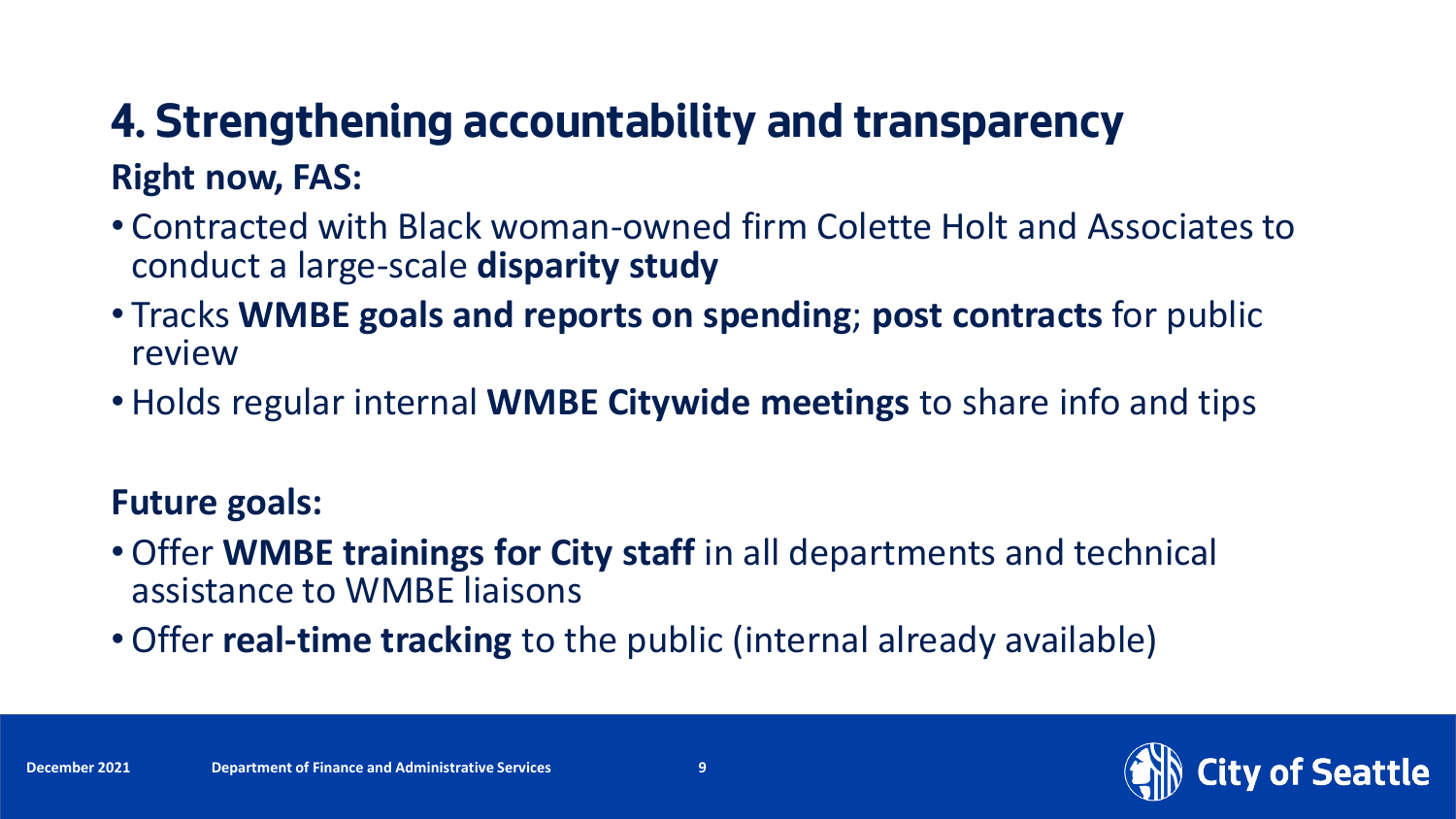## **4. Strengthening accountability and transparency Right now, FAS:**

- Contracted with Black woman-owned firm Colette Holt and Associates to conduct a large-scale **disparity study**
- Tracks **WMBE goals and reports on spending**; **post contracts** for public review
- Holds regular internal **WMBE Citywide meetings** to share info and tips

- Offer **WMBE trainings for City staff** in all departments and technical assistance to WMBE liaisons
- Offer **real-time tracking** to the public (internal already available)



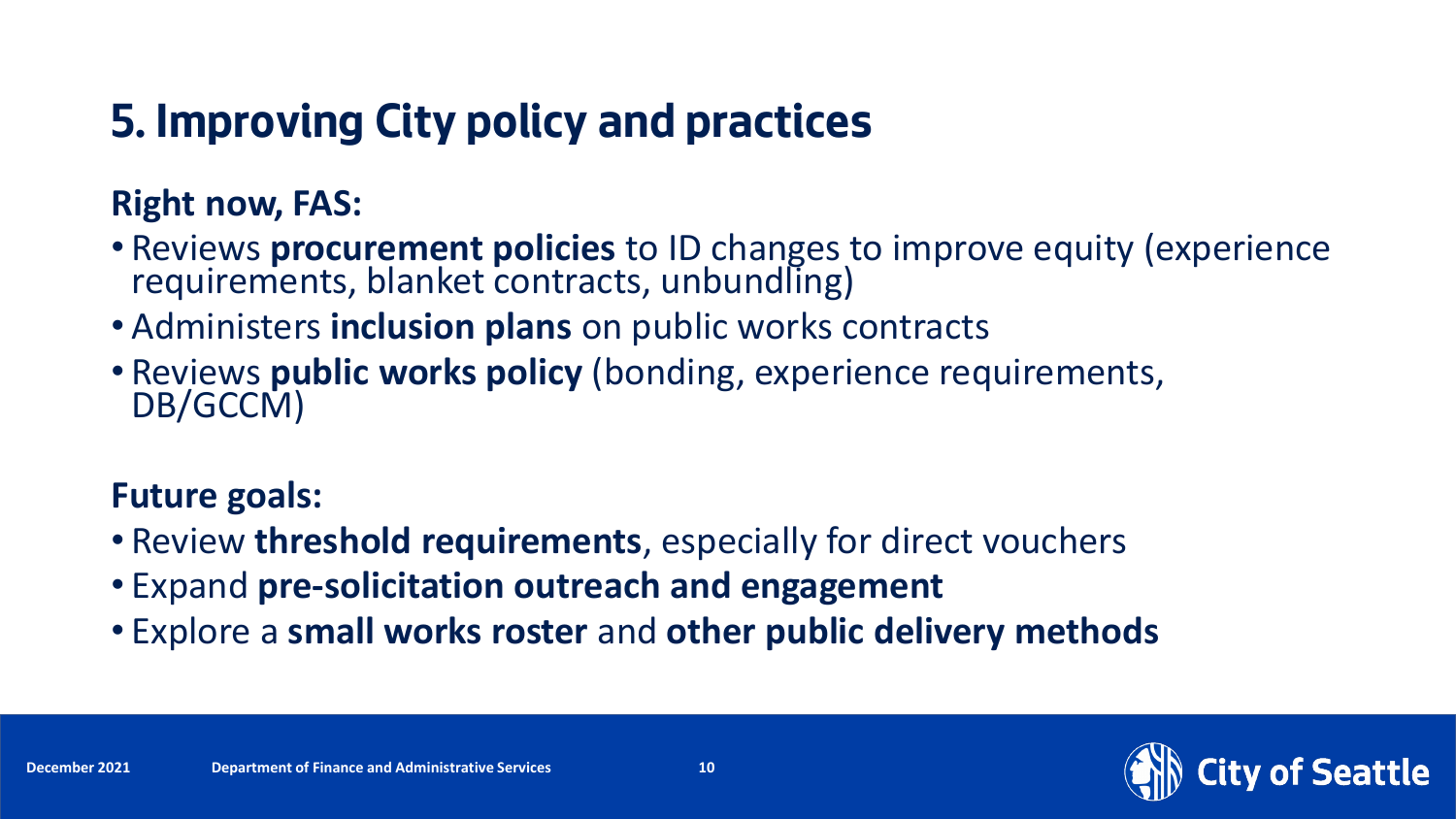## **5. Improving City policy and practices**

### **Right now, FAS:**

- Reviews **procurement policies** to ID changes to improve equity (experience requirements, blanket contracts, unbundling)
- Administers **inclusion plans** on public works contracts
- Reviews **public works policy** (bonding, experience requirements, DB/GCCM)

- Review **threshold requirements**, especially for direct vouchers
- Expand **pre-solicitation outreach and engagement**
- Explore a **small works roster** and **other public delivery methods**

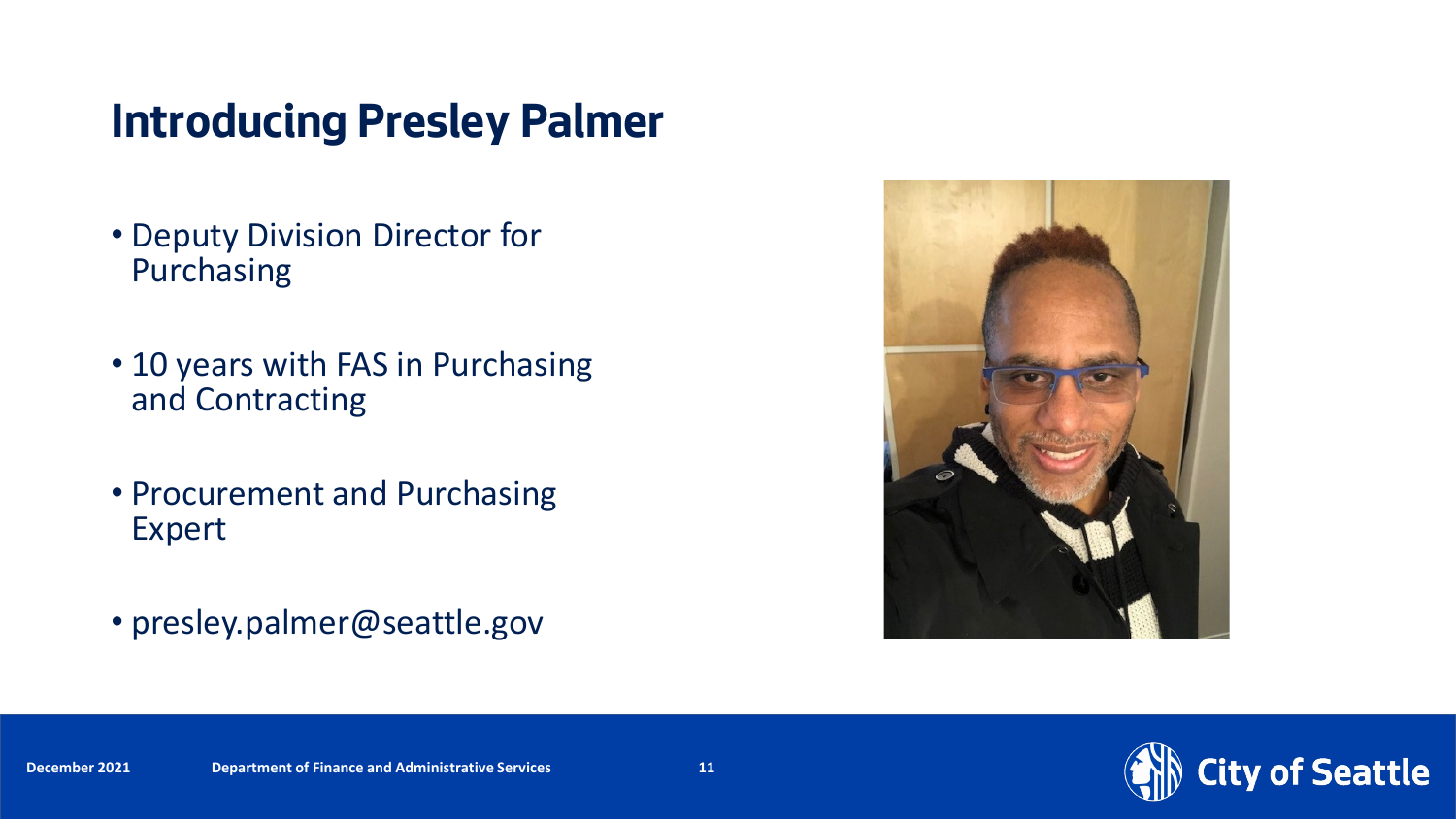### **Introducing Presley Palmer**

- Deputy Division Director for Purchasing
- 10 years with FAS in Purchasing and Contracting
- Procurement and Purchasing Expert
- presley.palmer@seattle.gov